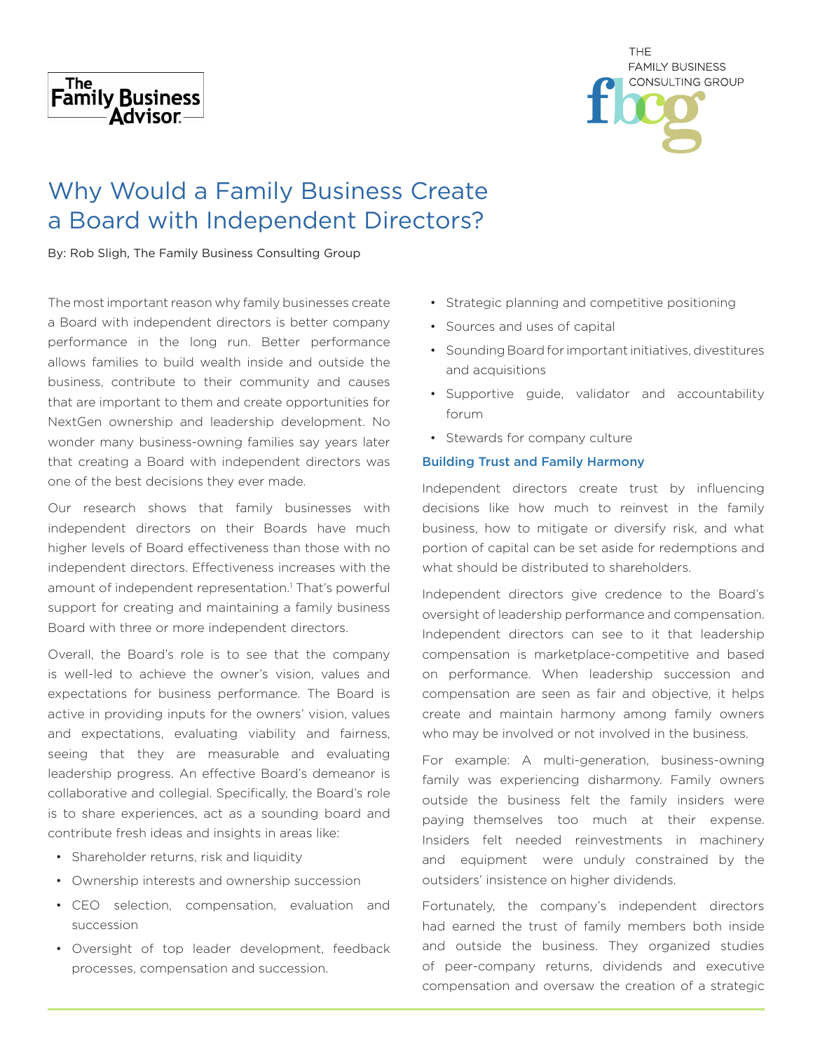



# Why Would a Family Business Create a Board with Independent Directors?

By: Rob Sligh, The Family Business Consulting Group

The most important reason why family businesses create a Board with independent directors is better company performance in the long run. Better performance allows families to build wealth inside and outside the business, contribute to their community and causes that are important to them and create opportunities for NextGen ownership and leadership development. No wonder many business-owning families say years later that creating a Board with independent directors was one of the best decisions they ever made.

Our research shows that family businesses with independent directors on their Boards have much higher levels of Board effectiveness than those with no independent directors. Effectiveness increases with the amount of independent representation.<sup>1</sup> That's powerful support for creating and maintaining a family business Board with three or more independent directors.

Overall, the Board's role is to see that the company is well-led to achieve the owner's vision, values and expectations for business performance. The Board is active in providing inputs for the owners' vision, values and expectations, evaluating viability and fairness, seeing that they are measurable and evaluating leadership progress. An effective Board's demeanor is collaborative and collegial. Specifically, the Board's role is to share experiences, act as a sounding board and contribute fresh ideas and insights in areas like:

- Shareholder returns, risk and liquidity
- Ownership interests and ownership succession
- CEO selection, compensation, evaluation and succession
- Oversight of top leader development, feedback processes, compensation and succession.
- Strategic planning and competitive positioning
- Sources and uses of capital
- Sounding Board for important initiatives, divestitures and acquisitions
- Supportive guide, validator and accountability forum
- Stewards for company culture

## Building Trust and Family Harmony

Independent directors create trust by influencing decisions like how much to reinvest in the family business, how to mitigate or diversify risk, and what portion of capital can be set aside for redemptions and what should be distributed to shareholders.

Independent directors give credence to the Board's oversight of leadership performance and compensation. Independent directors can see to it that leadership compensation is marketplace-competitive and based on performance. When leadership succession and compensation are seen as fair and objective, it helps create and maintain harmony among family owners who may be involved or not involved in the business.

For example: A multi-generation, business-owning family was experiencing disharmony. Family owners outside the business felt the family insiders were paying themselves too much at their expense. Insiders felt needed reinvestments in machinery and equipment were unduly constrained by the outsiders' insistence on higher dividends.

Fortunately, the company's independent directors had earned the trust of family members both inside and outside the business. They organized studies of peer-company returns, dividends and executive compensation and oversaw the creation of a strategic